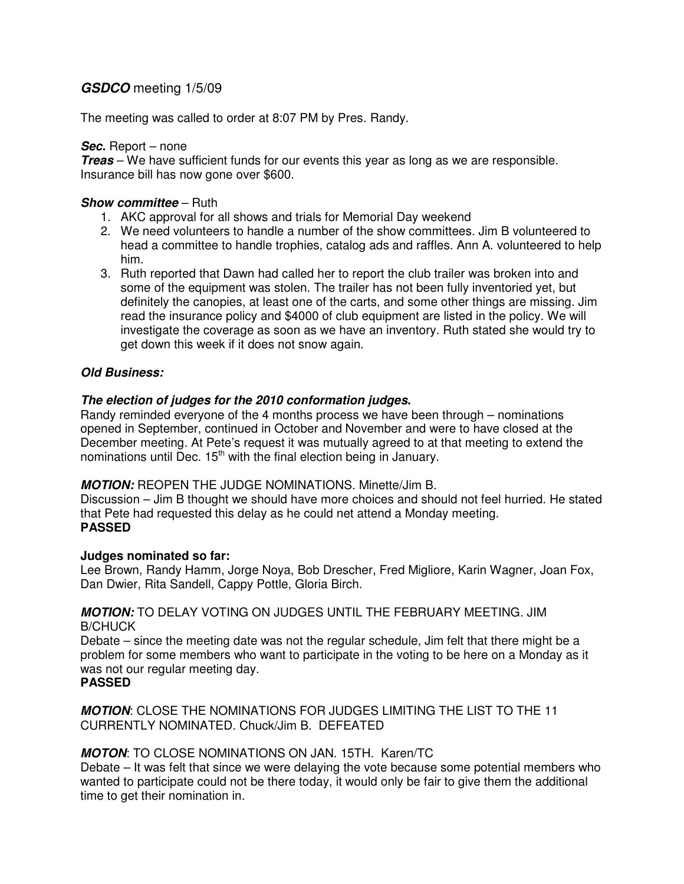# **GSDCO** meeting 1/5/09

The meeting was called to order at 8:07 PM by Pres. Randy.

## **Sec.** Report – none

**Treas** – We have sufficient funds for our events this year as long as we are responsible. Insurance bill has now gone over \$600.

## **Show committee** – Ruth

- 1. AKC approval for all shows and trials for Memorial Day weekend
- 2. We need volunteers to handle a number of the show committees. Jim B volunteered to head a committee to handle trophies, catalog ads and raffles. Ann A. volunteered to help him.
- 3. Ruth reported that Dawn had called her to report the club trailer was broken into and some of the equipment was stolen. The trailer has not been fully inventoried yet, but definitely the canopies, at least one of the carts, and some other things are missing. Jim read the insurance policy and \$4000 of club equipment are listed in the policy. We will investigate the coverage as soon as we have an inventory. Ruth stated she would try to get down this week if it does not snow again.

# **Old Business:**

# **The election of judges for the 2010 conformation judges.**

Randy reminded everyone of the 4 months process we have been through – nominations opened in September, continued in October and November and were to have closed at the December meeting. At Pete's request it was mutually agreed to at that meeting to extend the nominations until Dec.  $15<sup>th</sup>$  with the final election being in January.

## **MOTION:** REOPEN THE JUDGE NOMINATIONS. Minette/Jim B.

Discussion – Jim B thought we should have more choices and should not feel hurried. He stated that Pete had requested this delay as he could net attend a Monday meeting. **PASSED** 

## **Judges nominated so far:**

Lee Brown, Randy Hamm, Jorge Noya, Bob Drescher, Fred Migliore, Karin Wagner, Joan Fox, Dan Dwier, Rita Sandell, Cappy Pottle, Gloria Birch.

## **MOTION:** TO DELAY VOTING ON JUDGES UNTIL THE FEBRUARY MEETING. JIM B/CHUCK

Debate – since the meeting date was not the regular schedule, Jim felt that there might be a problem for some members who want to participate in the voting to be here on a Monday as it was not our regular meeting day.

## **PASSED**

**MOTION**: CLOSE THE NOMINATIONS FOR JUDGES LIMITING THE LIST TO THE 11 CURRENTLY NOMINATED. Chuck/Jim B. DEFEATED

# **MOTON**: TO CLOSE NOMINATIONS ON JAN. 15TH. Karen/TC

Debate – It was felt that since we were delaying the vote because some potential members who wanted to participate could not be there today, it would only be fair to give them the additional time to get their nomination in.